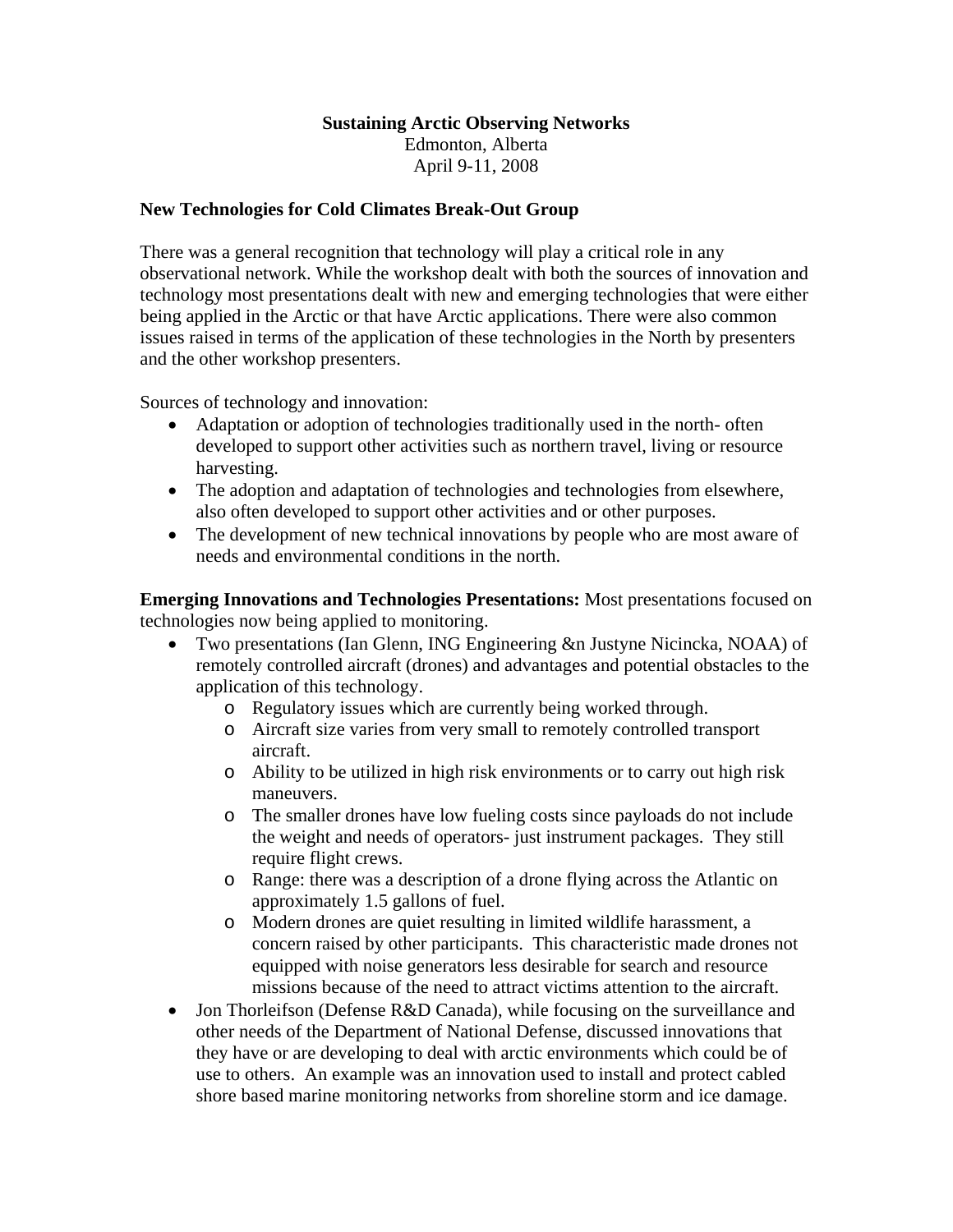## **Sustaining Arctic Observing Networks**

Edmonton, Alberta April 9-11, 2008

## **New Technologies for Cold Climates Break-Out Group**

There was a general recognition that technology will play a critical role in any observational network. While the workshop dealt with both the sources of innovation and technology most presentations dealt with new and emerging technologies that were either being applied in the Arctic or that have Arctic applications. There were also common issues raised in terms of the application of these technologies in the North by presenters and the other workshop presenters.

Sources of technology and innovation:

- Adaptation or adoption of technologies traditionally used in the north-often developed to support other activities such as northern travel, living or resource harvesting.
- The adoption and adaptation of technologies and technologies from elsewhere, also often developed to support other activities and or other purposes.
- The development of new technical innovations by people who are most aware of needs and environmental conditions in the north.

**Emerging Innovations and Technologies Presentations:** Most presentations focused on technologies now being applied to monitoring.

- Two presentations (Ian Glenn, ING Engineering &n Justyne Nicincka, NOAA) of remotely controlled aircraft (drones) and advantages and potential obstacles to the application of this technology.
	- o Regulatory issues which are currently being worked through.
	- o Aircraft size varies from very small to remotely controlled transport aircraft.
	- o Ability to be utilized in high risk environments or to carry out high risk maneuvers.
	- o The smaller drones have low fueling costs since payloads do not include the weight and needs of operators- just instrument packages. They still require flight crews.
	- o Range: there was a description of a drone flying across the Atlantic on approximately 1.5 gallons of fuel.
	- o Modern drones are quiet resulting in limited wildlife harassment, a concern raised by other participants. This characteristic made drones not equipped with noise generators less desirable for search and resource missions because of the need to attract victims attention to the aircraft.
- Jon Thorleifson (Defense R&D Canada), while focusing on the surveillance and other needs of the Department of National Defense, discussed innovations that they have or are developing to deal with arctic environments which could be of use to others. An example was an innovation used to install and protect cabled shore based marine monitoring networks from shoreline storm and ice damage.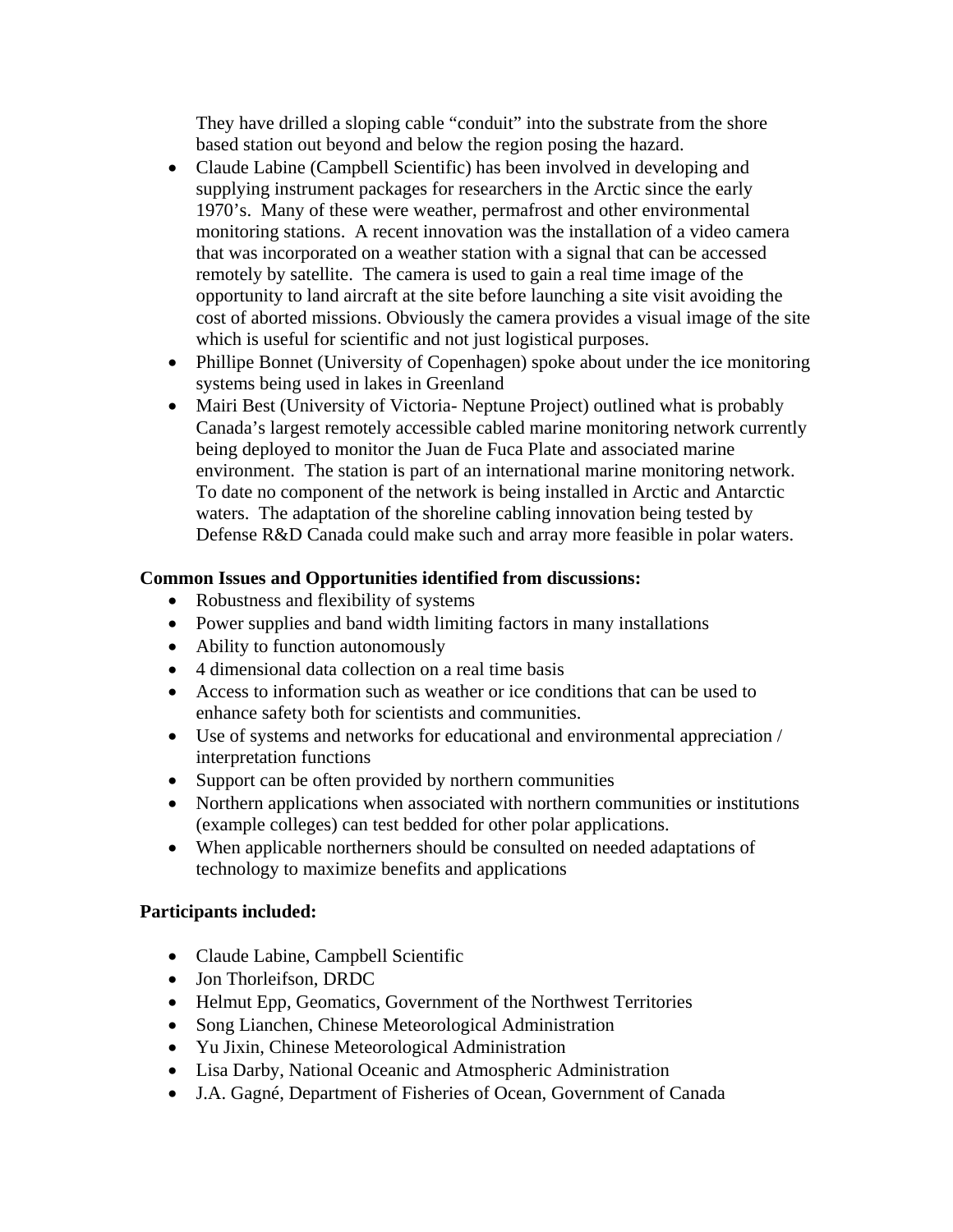They have drilled a sloping cable "conduit" into the substrate from the shore based station out beyond and below the region posing the hazard.

- Claude Labine (Campbell Scientific) has been involved in developing and supplying instrument packages for researchers in the Arctic since the early 1970's. Many of these were weather, permafrost and other environmental monitoring stations. A recent innovation was the installation of a video camera that was incorporated on a weather station with a signal that can be accessed remotely by satellite. The camera is used to gain a real time image of the opportunity to land aircraft at the site before launching a site visit avoiding the cost of aborted missions. Obviously the camera provides a visual image of the site which is useful for scientific and not just logistical purposes.
- Phillipe Bonnet (University of Copenhagen) spoke about under the ice monitoring systems being used in lakes in Greenland
- Mairi Best (University of Victoria- Neptune Project) outlined what is probably Canada's largest remotely accessible cabled marine monitoring network currently being deployed to monitor the Juan de Fuca Plate and associated marine environment. The station is part of an international marine monitoring network. To date no component of the network is being installed in Arctic and Antarctic waters. The adaptation of the shoreline cabling innovation being tested by Defense R&D Canada could make such and array more feasible in polar waters.

## **Common Issues and Opportunities identified from discussions:**

- Robustness and flexibility of systems
- Power supplies and band width limiting factors in many installations
- Ability to function autonomously
- 4 dimensional data collection on a real time basis
- Access to information such as weather or ice conditions that can be used to enhance safety both for scientists and communities.
- Use of systems and networks for educational and environmental appreciation / interpretation functions
- Support can be often provided by northern communities
- Northern applications when associated with northern communities or institutions (example colleges) can test bedded for other polar applications.
- When applicable northerners should be consulted on needed adaptations of technology to maximize benefits and applications

## **Participants included:**

- Claude Labine, Campbell Scientific
- Jon Thorleifson, DRDC
- Helmut Epp, Geomatics, Government of the Northwest Territories
- Song Lianchen, Chinese Meteorological Administration
- Yu Jixin, Chinese Meteorological Administration
- Lisa Darby, National Oceanic and Atmospheric Administration
- J.A. Gagné, Department of Fisheries of Ocean, Government of Canada